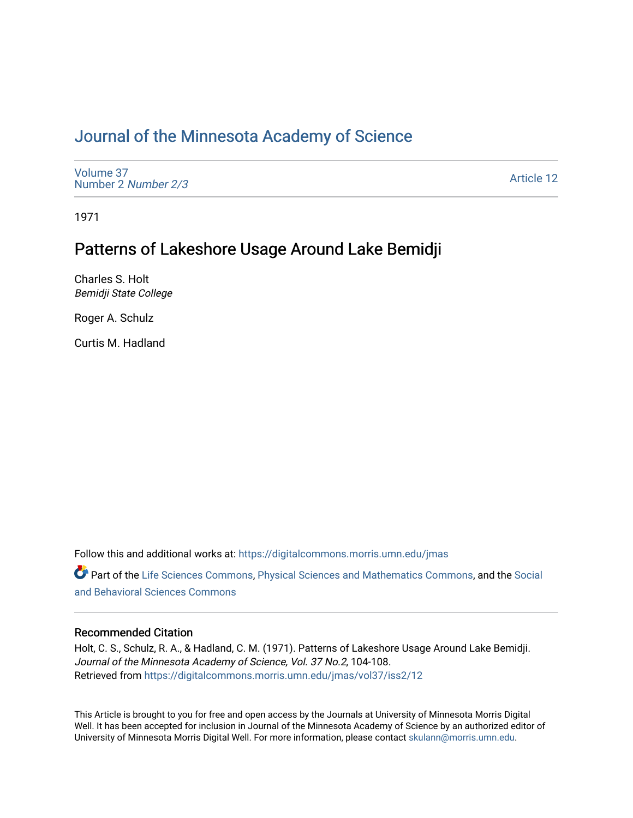## [Journal of the Minnesota Academy of Science](https://digitalcommons.morris.umn.edu/jmas)

[Volume 37](https://digitalcommons.morris.umn.edu/jmas/vol37) [Number 2](https://digitalcommons.morris.umn.edu/jmas/vol37/iss2) Number 2/3

[Article 12](https://digitalcommons.morris.umn.edu/jmas/vol37/iss2/12) 

1971

# Patterns of Lakeshore Usage Around Lake Bemidji

Charles S. Holt Bemidji State College

Roger A. Schulz

Curtis M. Hadland

Follow this and additional works at: [https://digitalcommons.morris.umn.edu/jmas](https://digitalcommons.morris.umn.edu/jmas?utm_source=digitalcommons.morris.umn.edu%2Fjmas%2Fvol37%2Fiss2%2F12&utm_medium=PDF&utm_campaign=PDFCoverPages) 

Part of the [Life Sciences Commons,](https://network.bepress.com/hgg/discipline/1016?utm_source=digitalcommons.morris.umn.edu%2Fjmas%2Fvol37%2Fiss2%2F12&utm_medium=PDF&utm_campaign=PDFCoverPages) [Physical Sciences and Mathematics Commons,](https://network.bepress.com/hgg/discipline/114?utm_source=digitalcommons.morris.umn.edu%2Fjmas%2Fvol37%2Fiss2%2F12&utm_medium=PDF&utm_campaign=PDFCoverPages) and the [Social](https://network.bepress.com/hgg/discipline/316?utm_source=digitalcommons.morris.umn.edu%2Fjmas%2Fvol37%2Fiss2%2F12&utm_medium=PDF&utm_campaign=PDFCoverPages)  [and Behavioral Sciences Commons](https://network.bepress.com/hgg/discipline/316?utm_source=digitalcommons.morris.umn.edu%2Fjmas%2Fvol37%2Fiss2%2F12&utm_medium=PDF&utm_campaign=PDFCoverPages) 

### Recommended Citation

Holt, C. S., Schulz, R. A., & Hadland, C. M. (1971). Patterns of Lakeshore Usage Around Lake Bemidji. Journal of the Minnesota Academy of Science, Vol. 37 No.2, 104-108. Retrieved from [https://digitalcommons.morris.umn.edu/jmas/vol37/iss2/12](https://digitalcommons.morris.umn.edu/jmas/vol37/iss2/12?utm_source=digitalcommons.morris.umn.edu%2Fjmas%2Fvol37%2Fiss2%2F12&utm_medium=PDF&utm_campaign=PDFCoverPages) 

This Article is brought to you for free and open access by the Journals at University of Minnesota Morris Digital Well. It has been accepted for inclusion in Journal of the Minnesota Academy of Science by an authorized editor of University of Minnesota Morris Digital Well. For more information, please contact [skulann@morris.umn.edu](mailto:skulann@morris.umn.edu).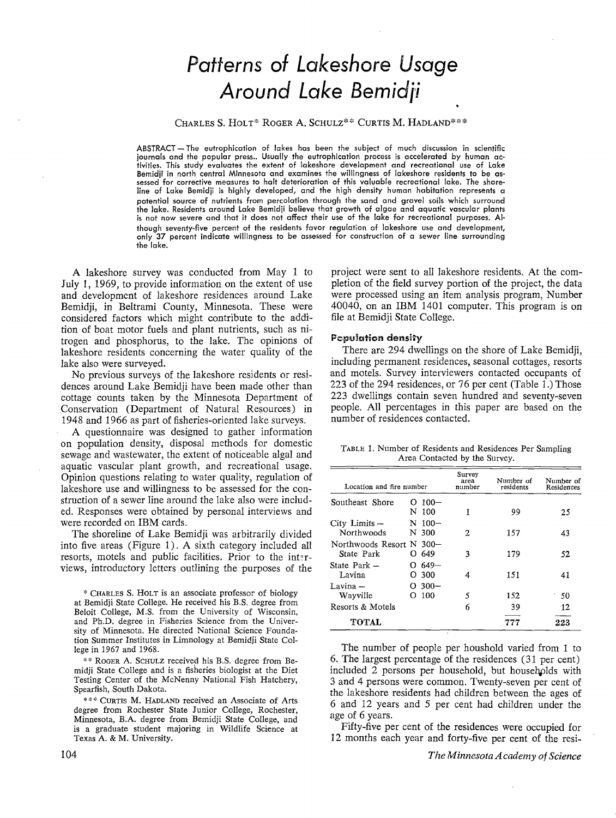# *Patterns of Lakeshore Usage Around Lake Bemidji*

## CHARLES S. HOLT\* ROGER A. SCHULZ\*\* CURTIS M. HADLAND\*\*\*

ABSTRACT - The eutrophication of lakes has been the subject of much discussion in scientific journals and the popular press.. Usually the eutrophication process is accelerated by human activities. This study evaluates the extent of lakeshore development and recreational use of Lake Bemidji in north central Minnesota and examines the willingness of lakeshore residents to be assessed for corrective measures to halt deterioration of this valuable recreational lake. The shoreline of Lake Bemidji is highly developed, and the high density human habitation represents a potential source of nutrients from percolation through the sand and gravel soils which surround the lake. Residents around Lake Bemidji believe that growth of algae and aquatic vascular plants is not now severe and that it does not affect their use of the lake for recreational purposes. Although seventy-five percent of the residents favor regulation of lakeshore use and development, only 37 percent indicate willingness to be assessed for construction of a sewer line surrounding the lake.

A lakeshore survey was conducted from May 1 to July 1, 1969, to provide information on the extent of use and development of lakeshore residences around Lake Bemidji, in Beltrami County, Minnesota. These were considered factors which might contribute to the addition of boat motor fuels and plant nutrients, such as nitrogen and phosphorus, to the lake. The opinions of lakeshore residents concerning the water quality of the lake also were surveyed.

No previous surveys of the lakeshore residents or residences around Lake Bemidji have been made other than cottage counts taken by the Minnesota Department of Conservation (Department of Natural Resources) in 1948 and 1966 as part of fisheries-oriented lake surveys.

A questionnaire was designed to gather information on population density, disposal methods for domestic sewage and wastewater, the extent of noticeable algal and aquatic vascular plant growth, and recreational usage. Opinion questions relating to water quality, regulation of lakeshore use and willingness to be assessed for the construction of a sewer line around the lake also were included. Responses were obtained by personal interviews and were recorded on IBM cards.

The shoreline of Lake Bemidji was arbitrarily divided into five areas (Figure 1). A sixth category included all resorts, motels and public facilities. Prior to the interviews, introductory letters outlining the purposes of the

\* CHARLES S. HOLT is an associate professor of biology at Bemidji State College. He received his B.S. degree from Beloit College, M.S. from the University of Wisconsin, and Ph.D. degree in Fisheries Science from the University of Minnesota. He directed National Science Foundation Summer Institutes in Limnology at Bemidji State College in 1967 and 1968.

\*\* ROGER A. SCHULZ received his B.S. degree from Bemidji State College and is a fisheries biologist at the Diet Testing Center of the McNenny National Fish Hatchery, Spearfish, South Dakota.

\* \* \* CURTIS M. HADLAND received an Associate of Arts degree from Rochester State Junior College, Rochester, Minnesota, B.A. degree from Bemidji State College, and is a graduate student majoring in Wildlife Science at Texas A. & M. University.

project were sent to all lakeshore residents. At the completion of the field survey portion of the project, the data were processed using an item analysis program, Number 40040, on an IBM 1401 computer. This program is on file at Bemidji State College.

#### **Pcpu!ation density**

There are 294 dwellings on the shore of Lake Bemidji, including permanent residences, seasonal cottages, resorts and motels. Survey interviewers contacted occupants of 223 of the 294 residences, or 76 per cent (Table 1.) Those 223 dwellings contain seven hundred and seventy-seven people. All percentages in this paper are based on the number of residences contacted.

|  | TABLE 1. Number of Residents and Residences Per Sampling |  |                               |  |
|--|----------------------------------------------------------|--|-------------------------------|--|
|  |                                                          |  | Area Contacted by the Survey. |  |

| Location and fire number               | Survey<br>area<br>number     | Number of<br>residents | Number of<br>Residences |     |
|----------------------------------------|------------------------------|------------------------|-------------------------|-----|
| Southeast Shore                        | $100 -$<br>0<br>100<br>N     | 1                      | 99                      | 25  |
| $City$ Limits $-$<br>Northwoods        | N 100-<br>N 300              | 2                      | 157                     | 43  |
| Northwoods Resort N 300-<br>State Park | 649<br>O.                    | 3                      | 179                     | 52  |
| State Park $-$<br>Lavina               | $649-$<br>0<br>300<br>0      | 4                      | 151                     | 41  |
| Lavina –<br>Wayville                   | $O.300 -$<br>100<br>$\Omega$ | 5                      | 152                     | 50  |
| Resorts & Motels                       |                              | 6                      | 39                      | 12  |
| TOTAL                                  |                              |                        | 777                     | 223 |

The number of people per houshold varied from 1 to 6. The largest percentage of the residences ( 31 per cent) included 2 persons per household, but households with 3 and 4 persons were common. Twenty-seven per cent of the lakeshore residents had children between the ages of 6 and 12 years and 5 per cent had children under the age of 6 years.

Fifty-five per cent of the residences were occupied for 12 months each year and forty-five per cent of the resi-

*T he Minnesota Academy of Science*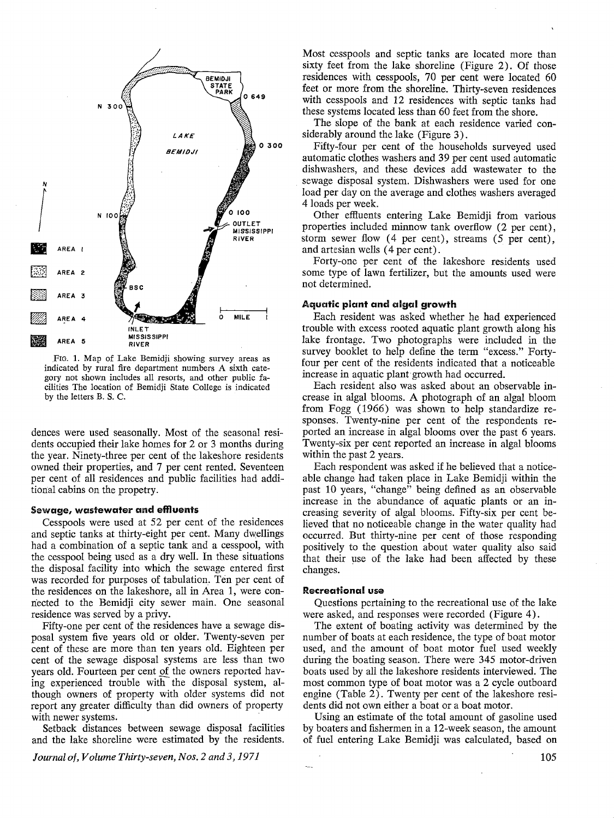

FIG. 1. Map of Lake Bemidji showing survey areas as indicated by rural fire department numbers A sixth category not shown includes all resorts, and other public facilities The location of Bemidji State College is indicated by the letters B. S. C.

dences were used seasonally. Most of the seasonal residents occupied their lake homes for 2 or 3 months during the year. Ninety-three per cent of the lakeshore residents owned their properties, and 7 per cent rented. Seventeen per cent of all residences and public facilities had additional cabins on the propetry.

#### **Sewage, wastewater and effluents**

Cesspools were used at 52 per cent of the residences and septic tanks at thirty-eight per cent. Many dwellings had a combination of a septic tank and a cesspool, with the cesspool being used as a dry well. In these situations the disposal facility into which the sewage entered first was recorded for purposes of tabulation. Ten per cent of the residences on the lakeshore, all in Area 1, were connected to the Bemidji city sewer main. One seasonal residence was served by a privy.

Fifty-one per cent of the residences have a sewage disposal system five years old or older. Twenty-seven per cent of these are more than ten years old. Eighteen per cent of the sewage disposal systems are less than two years old. Fourteen per cent of the owners reported having experienced trouble with the disposal system, although owners of property with older systems did not report any greater difficulty than did owners of property with newer systems.

Setback distances between sewage disposal facilities and the lake shoreline were estimated by the residents.

*Journal of, Volume Thirty-seven, Nos. 2 and 3, 1971* 

Most cesspools and septic tanks are located more than sixty feet from the lake shoreline (Figure 2). Of those residences with cesspools, 70 per cent were located 60 feet or more from the shoreline. Thirty-seven residences with cesspools and 12 residences with septic tanks had these systems located less than 60 feet from the shore.

The slope of the bank at each residence varied considerably around the lake (Figure 3) .

Fifty-four per cent of the households surveyed used automatic clothes washers and 39 per cent used automatic dishwashers, and these devices add wastewater to the sewage disposal system. Dishwashers were used for one load per day on the average and clothes washers averaged 4 loads per week.

Other effluents entering Lake Bemidii from various properties included minnow tank overflow (2 per cent), storm sewer flow  $(4 \text{ per cent})$ , streams  $(5 \text{ per cent})$ , and artesian wells ( 4 per cent) .

Forty-one per cent of the lakeshore residents used some type of lawn fertilizer, but the amounts used were not determined.

#### **Aquatic plant and algal growth**

Each resident was asked whether he had experienced trouble with excess rooted aquatic plant growth along his lake frontage. Two photographs were included in the survey booklet to help define the term "excess." Fortyfour per cent of the residents indicated that a noticeable increase in aquatic plant-growth had occurred.

Each resident also was asked about an observable increase in algal blooms. A photograph of an algal bloom from Fogg (1966) was shown to help standardize responses. Twenty-nine per cent of the respondents reported an increase in algal blooms over the past 6 years. Twenty-six per cent reported an increase in algal blooms within the past 2 years.

Each respondent was asked if he believed that a noticeable change had taken place in Lake Bemidji within the past 10 years, "change" being defined as an observable increase in the abundance of aquatic plants or an increasing severity of algal blooms. Fifty-six per cent believed that no noticeable change in the water quality had occurred. But thirty-nine per cent of those responding positively to the question about water quality also said that their use of the lake had been affected by these changes.

#### **Recreational use**

Questions pertaining to the recreational use of the lake were asked, and responses were recorded (Figure 4).

The extent of boating activity was determined by the number of boats at each residence, the type of boat motor used, and the amount of boat motor fuel used weekly during the boating season. There were 345 motor-driven boats used by all the lakeshore residents interviewed. The most common type of boat motor was a 2 cycle outboard engine (Table 2). Twenty per cent of the lakeshore residents did not own either a boat or a boat motor.

Using an estimate of the total amount of gasoline used by boaters and fishermen in a 12-week season, the amount of fuel entering Lake Bemidji was calculated, based on

105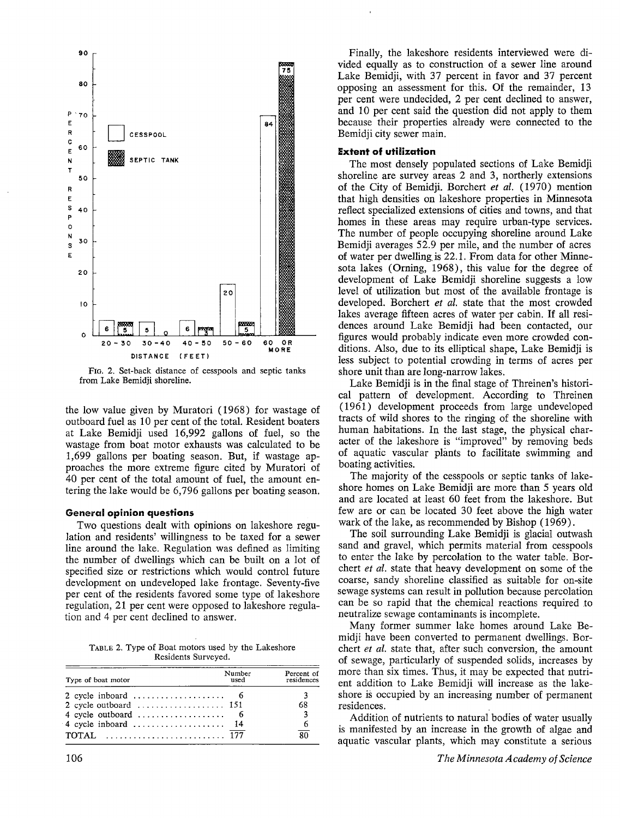

FIG. 2. Set-back distance of cesspools and septic tanks from Lake Bemidji shoreline.

the low value given by Muratori ( 1968) for wastage of outboard fuel as 10 per cent of the total. Resident boaters at Lake Bemidji used 16,992 gallons of fuel, so the wastage from boat motor exhausts was calculated to be 1,699 gallons per boating season. But, if wastage approaches the more extreme figure cited by Muratori of 40 per cent of the total amount of fuel, the amount entering the lake would be 6,796 gallons per boating season.

#### **General opinion questions**

Two questions dealt with opinions on lakeshore regulation and residents' willingness to be taxed for a sewer line around the lake. Regulation was defined as limiting the number of dwellings which can be built on a lot of specified size or restrictions which would control future development on undeveloped lake frontage. Seventy-five per cent of the residents favored some type of lakeshore regulation, 21 per cent were opposed to lakeshore regulation and 4 per cent declined to answer.

TABLE 2. Type of Boat motors used by the Lakeshore Residents Surveyed.

| Type of boat motor  | Number<br>used | Percent of<br>residences |
|---------------------|----------------|--------------------------|
|                     |                |                          |
|                     |                | 68                       |
|                     |                | 3                        |
| 4 cycle inboard  14 |                | 6                        |
| <b>TOTAL</b> 177    |                | ጸበ                       |

Finally, the lakeshore residents interviewed were divided equally as to construction of a sewer line around Lake Bemidji, with 37 percent in favor and 37 percent opposing an assessment for this. Of the remainder, 13 per cent were undecided, 2 per cent declined to answer, and 10 per cent said the question did not apply to them because their properties already were connected to the Bemidji city sewer main.

#### **Extent of utilization**

The most densely populated sections of Lake Bemidji shoreline are survey areas 2 and 3, northerly extensions of the City of Bemidji. Borchert *et al.* ( 1970) mention that high densities on lakeshore properties in Minnesota reflect specialized extensions of cities and towns, and that homes in these areas may require urban-type services. The number of people occupying shoreline around Lake Bemidji averages 52.9 per mile, and the number of acres of water per dwelling.is 22.1. From data for other Minnesota lakes ( Orning, 1968), this value for the degree of development of Lake Bemidji shoreline suggests a low level of utilization but most of the available frontage is developed. Borchert *et al.* state that the most crowded lakes average fifteen acres of water per cabin. If all residences around Lake Bemidji had been contacted, our figures would probably indicate even more crowded conditions. Also, due to its elliptical shape, Lake Bemidji is less subject to potential crowding in terms of acres per shore unit than are long-narrow lakes.

Lake Bemidji is in the final stage of Threinen's historical pattern of development. According to Threinen (1961) development proceeds from large undeveloped tracts of wild shores to the ringing of the shoreline with human habitations. In the last stage, the physical character of the lakeshore is "improved" by removing beds of aquatic vascular plants to facilitate swimming and boating activities.

The majority of the cesspools or septic tanks of lakeshore homes on Lake Bemidji are more than 5 years old and are located at least 60 feet from the lakeshore. But few are or can be located 30 feet above the high water wark of the lake, as recommended by Bishop ( 1969).

The soil surrounding Lake Bemidji is glacial outwash sand and gravel, which permits material from cesspools to enter the lake by percolation to the water table. Borchert *et al.* state that heavy development on some of the coarse, sandy shoreline classified as suitable for on-site sewage systems can result in pollution because percolation can be so rapid that the chemical reactions required to neutralize sewage contaminants is incomplete.

Many former summer lake homes around Lake Bemidji have been converted to permanent dwellings. Borchert *et al.* state that, after such conversion, the amount of sewage, particularly of suspended solids, increases by more than six times. Thus, it may be expected that nutrient addition to Lake Bemidji will increase as the lakeshore is occupied by an increasing number of permanent residences.

Addition of nutrients to natural bodies of water usually is manifested by an increase in the growth of algae and aquatic vascular plants, which may constitute a serious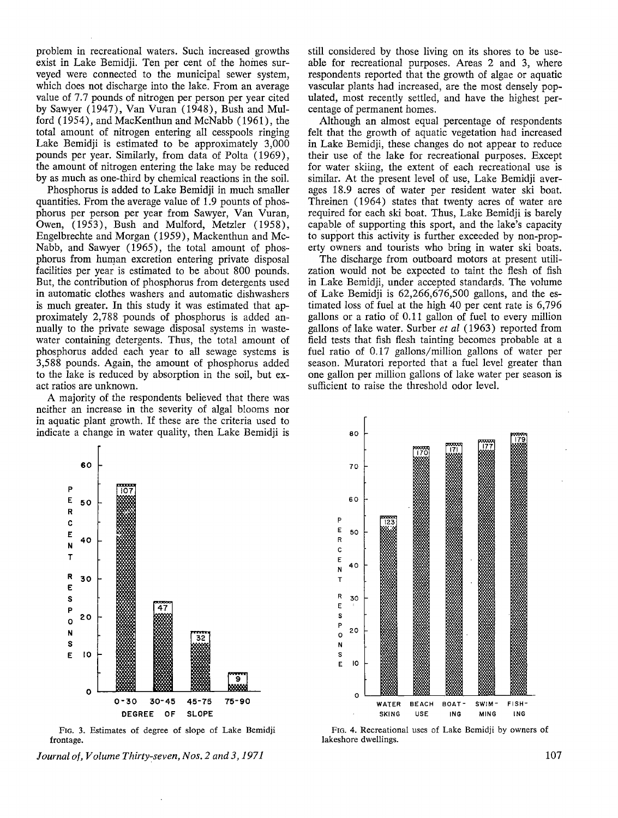problem in recreational waters. Such increased growths exist in Lake Bemidji. Ten per cent of the homes surveyed were connected to the municipal sewer system, which does not discharge into the lake. From an average value of 7.7 pounds of nitrogen per person per year cited by Sawyer (1947), Van Vuran (1948), Bush and Mulford (1954), and MacKenthun and McNabb (1961), the total amount of nitrogen entering all cesspools ringing Lake Bemidji is estimated to be approximately 3,000 pounds per year. Similarly, from data of Polta (1969), the amount of nitrogen entering the lake may be reduced by as much as one-third by chemical reactions in the soil.

Phosphorus is added to Lake Bemidji in much smaller quantities. From the average value of 1.9 pounts of phosphorus per person per year from Sawyer, Van Vuran, Owen, (1953), Bush and Mulford, Metzler (1958), Engelbrechte and Morgan (1959), Mackenthun and Mc-Nabb, and Sawyer (1965), the total amount of phosphorus from human excretion entering private disposal facilities per year is estimated to be about 800 pounds. But, the contribution of phosphorus from detergents used in automatic clothes washers and automatic dishwashers is much greater. In this study it was estimated that approximately 2,788 pounds of phosphorus is added annually to the private sewage disposal systems in wastewater containing detergents. Thus, the total amount of phosphorus added each year to all sewage systems is 3,588 pounds. Again, the amount of phosphorus added to the lake is reduced by absorption in the soil, but exact ratios are unknown.

A majority of the respondents believed that there was neither an increase in the severity of algal blooms nor in aquatic plant growth. If these are the criteria used to indicate a change in water quality, then Lake Bemidji is

> **60 P** 107  $E_{50}$ R C E **<sup>N</sup><sup>40</sup>** T **<sup>R</sup>30 E s p 47 <sup>0</sup>20 N s**  E 10 ë **0 0-30 30-45 45-75 75-90 DEGREE OF SLOPE**

FIG. 3. Estimates of degree of slope of Lake Bemidji frontage.

Journal of, Volume Thirty-seven, Nos. 2 and 3, 1971

still considered by those living on its shores to be useable for recreational purposes. Areas 2 and 3, where respondents reported that the growth of algae or aquatic vascular plants had increased, are the most densely populated, most recently settled, and have the highest percentage of permanent homes.

Although an almost equal percentage of respondents felt that the growth of aquatic vegetation had increased in Lake Bemidji, these changes do not appear to reduce their use of the lake for recreational purposes. Except for water skiing, the extent of each recreational use is similar. At the present level of use, Lake Bemidji averages 18.9 acres of water per resident water ski boat. Threinen (1964) states that twenty acres of water are required for each ski boat. Thus, Lake Bemidji is barely capable of supporting this sport, and the lake's capacity to support this activity is further exceeded by non-property owners and tourists who bring in water ski boats.

The discharge from outboard motors at present utilization would not be expected to taint the flesh of fish in Lake Bemidji, under accepted standards. The volume of Lake Bemidji is 62,266,676,500 gallons, and the estimated loss of fuel at the high 40 per cent rate is 6,796 gallons or a ratio of 0.11 gallon of fuel to every million gallons of lake water. Surber *et al* (1963) reported from field tests that fish flesh tainting becomes probable at a fuel ratio of 0.17 gallons/million gallons of water per season. Muratori reported that a fuel level greater than one gallon per million gallons of lake water per season is sufficient to raise the threshold odor level.



FIG. 4. Recreational uses of Lake Bemidji by owners of lakeshore dwellings.